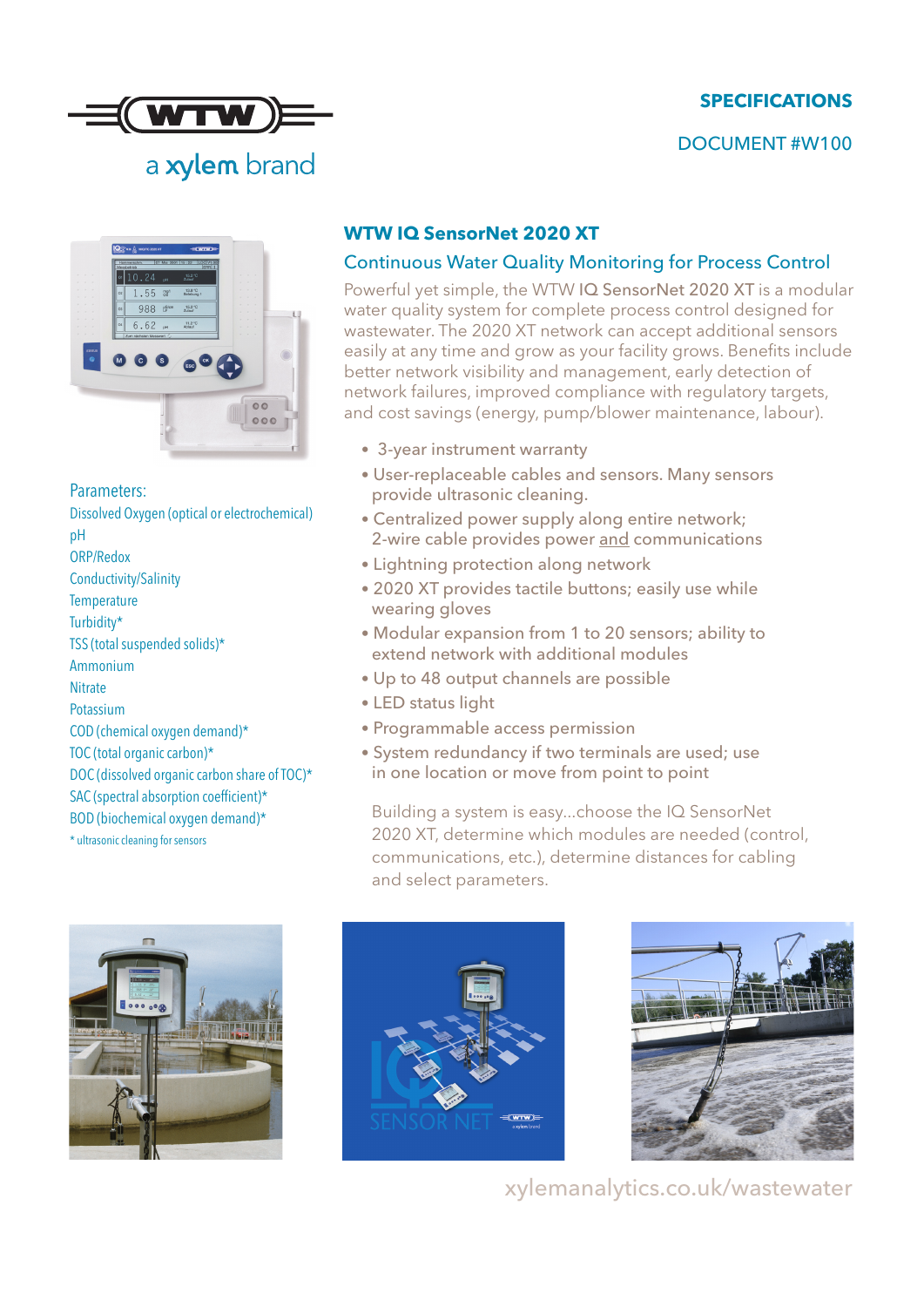# **SPECIFICATIONS**

### DOCUMENT #W100





Parameters: Dissolved Oxygen (optical or electrochemical) pH ORP/Redox Conductivity/Salinity **Temperature** Turbidity\* TSS (total suspended solids)\* Ammonium Nitrate Potassium COD (chemical oxygen demand)\* TOC (total organic carbon)\* DOC (dissolved organic carbon share of TOC)\* SAC (spectral absorption coefficient)\* BOD (biochemical oxygen demand)\* \* ultrasonic cleaning for sensors

### **WTW IQ SensorNet 2020 XT**

### Continuous Water Quality Monitoring for Process Control

Powerful yet simple, the WTW IQ SensorNet 2020 XT is a modular water quality system for complete process control designed for wastewater. The 2020 XT network can accept additional sensors easily at any time and grow as your facility grows. Benefits include better network visibility and management, early detection of network failures, improved compliance with regulatory targets, and cost savings (energy, pump/blower maintenance, labour).

- 3-year instrument warranty
- User-replaceable cables and sensors. Many sensors provide ultrasonic cleaning.
- Centralized power supply along entire network; 2-wire cable provides power and communications
- Lightning protection along network
- 2020 XT provides tactile buttons; easily use while wearing gloves
- Modular expansion from 1 to 20 sensors; ability to extend network with additional modules
- Up to 48 output channels are possible
- LED status light
- Programmable access permission
- System redundancy if two terminals are used; use in one location or move from point to point

Building a system is easy...choose the IQ SensorNet 2020 XT, determine which modules are needed (control, communications, etc.), determine distances for cabling and select parameters.







xylemanalytics.co.uk/wastewater